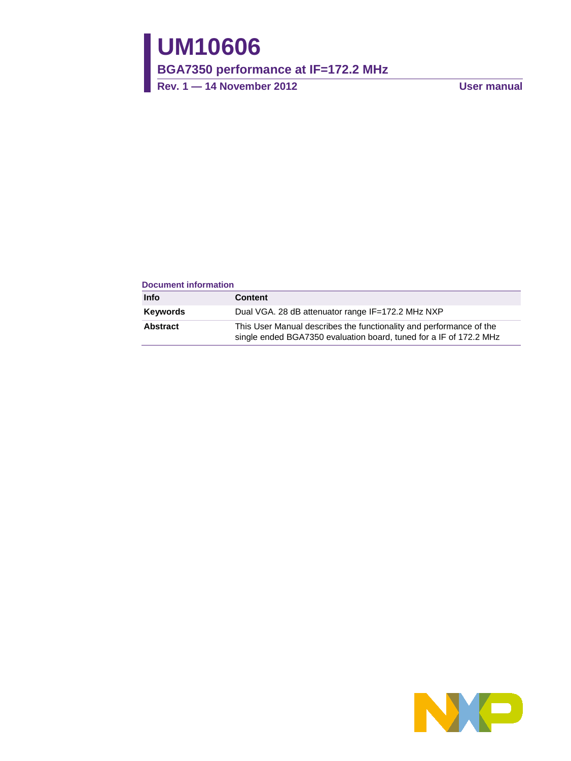# **UM10606**

**BGA7350 performance at IF=172.2 MHz**

**Rev. 1 — 14 November 2012 User manual**

### **Document information**

| Info     | <b>Content</b>                                                                                                                            |
|----------|-------------------------------------------------------------------------------------------------------------------------------------------|
| Keywords | Dual VGA. 28 dB attenuator range IF=172.2 MHz NXP                                                                                         |
| Abstract | This User Manual describes the functionality and performance of the<br>single ended BGA7350 evaluation board, tuned for a IF of 172.2 MHz |

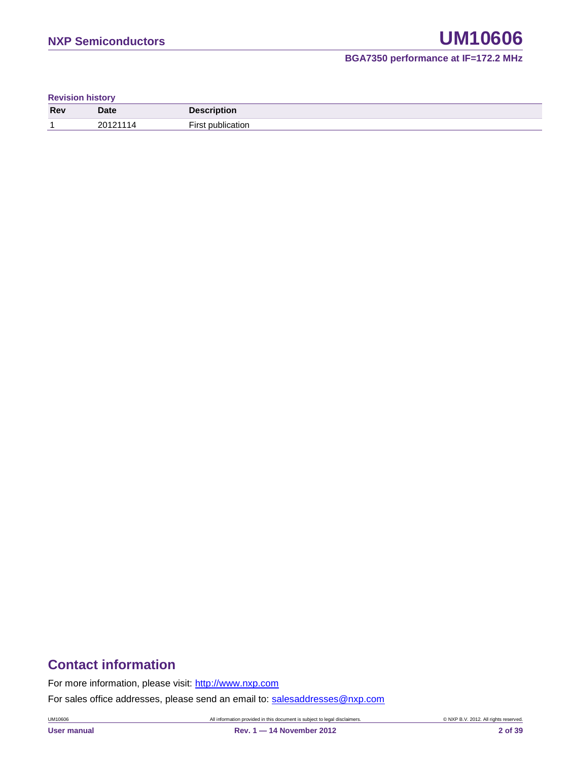### **BGA7350 performance at IF=172.2 MHz**

**Revision history**

| Rev | <b>Date</b> | <b>Description</b> |
|-----|-------------|--------------------|
|     | 20121       | --<br>ıtı∩r        |

## **Contact information**

For more information, please visit: [http://www.nxp.com](http://www.nxp.com/)

For sales office addresses, please send an email to: [salesaddresses@nxp.com](mailto:salesaddresses@nxp.com)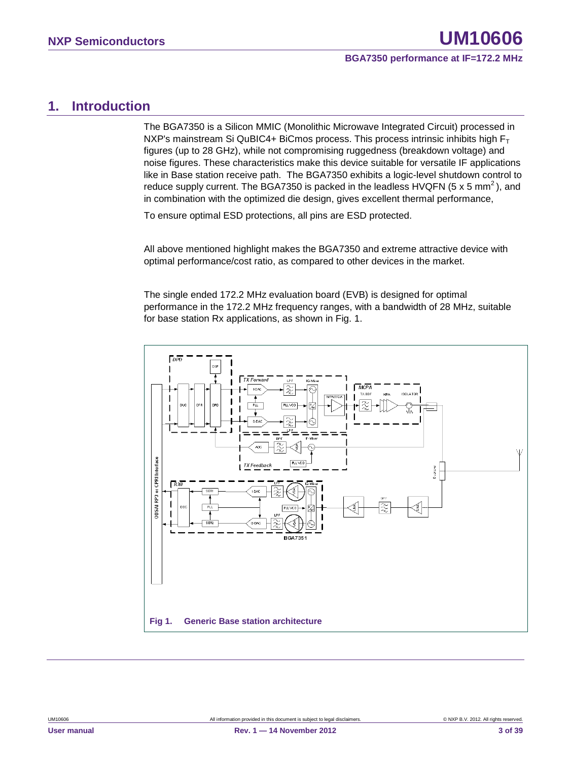### <span id="page-2-0"></span>**1. Introduction**

The BGA7350 is a Silicon MMIC (Monolithic Microwave Integrated Circuit) processed in NXP's mainstream Si QuBIC4+ BiCmos process. This process intrinsic inhibits high  $F_T$ figures (up to 28 GHz), while not compromising ruggedness (breakdown voltage) and noise figures. These characteristics make this device suitable for versatile IF applications like in Base station receive path. The BGA7350 exhibits a logic-level shutdown control to reduce supply current. The BGA7350 is packed in the leadless HVQFN (5  $\times$  5 mm<sup>2</sup>), and in combination with the optimized die design, gives excellent thermal performance,

To ensure optimal ESD protections, all pins are ESD protected.

All above mentioned highlight makes the BGA7350 and extreme attractive device with optimal performance/cost ratio, as compared to other devices in the market.

The single ended 172.2 MHz evaluation board (EVB) is designed for optimal performance in the 172.2 MHz frequency ranges, with a bandwidth of 28 MHz, suitable for base station Rx applications, as shown in Fig. 1.

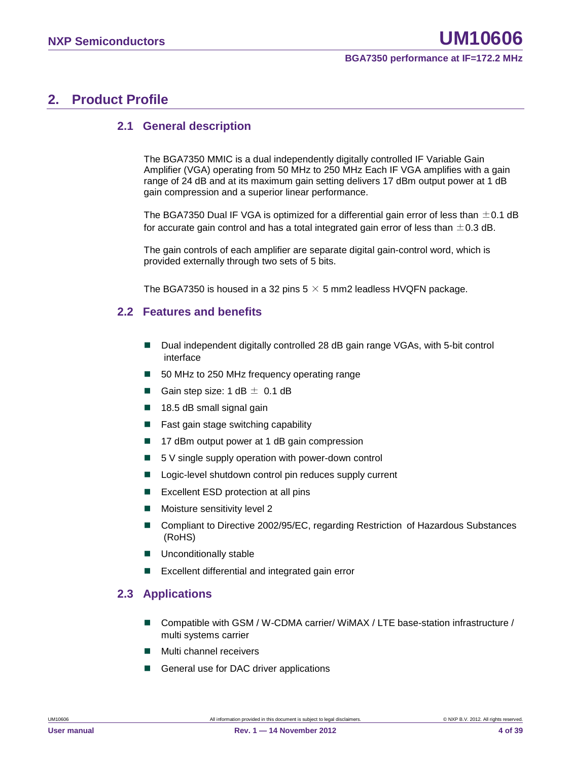### <span id="page-3-0"></span>**2. Product Profile**

### <span id="page-3-1"></span>**2.1 General description**

The BGA7350 MMIC is a dual independently digitally controlled IF Variable Gain Amplifier (VGA) operating from 50 MHz to 250 MHz Each IF VGA amplifies with a gain range of 24 dB and at its maximum gain setting delivers 17 dBm output power at 1 dB gain compression and a superior linear performance.

The BGA7350 Dual IF VGA is optimized for a differential gain error of less than  $\pm$ 0.1 dB for accurate gain control and has a total integrated gain error of less than  $\pm$  0.3 dB.

The gain controls of each amplifier are separate digital gain-control word, which is provided externally through two sets of 5 bits.

<span id="page-3-2"></span>The BGA7350 is housed in a 32 pins  $5 \times 5$  mm2 leadless HVQFN package.

### **2.2 Features and benefits**

- Dual independent digitally controlled 28 dB gain range VGAs, with 5-bit control interface
- 50 MHz to 250 MHz frequency operating range
- Gain step size:  $1 dB \pm 0.1 dB$
- $\blacksquare$  18.5 dB small signal gain
- Fast gain stage switching capability
- 17 dBm output power at 1 dB gain compression
- $\blacksquare$  5 V single supply operation with power-down control
- Logic-level shutdown control pin reduces supply current
- **EXCELLENT ESD protection at all pins**
- **Moisture sensitivity level 2**
- Compliant to Directive 2002/95/EC, regarding Restriction of Hazardous Substances (RoHS)
- **Unconditionally stable**
- <span id="page-3-3"></span>Excellent differential and integrated gain error

### **2.3 Applications**

- Compatible with GSM / W-CDMA carrier/ WiMAX / LTE base-station infrastructure / multi systems carrier
- Multi channel receivers
- General use for DAC driver applications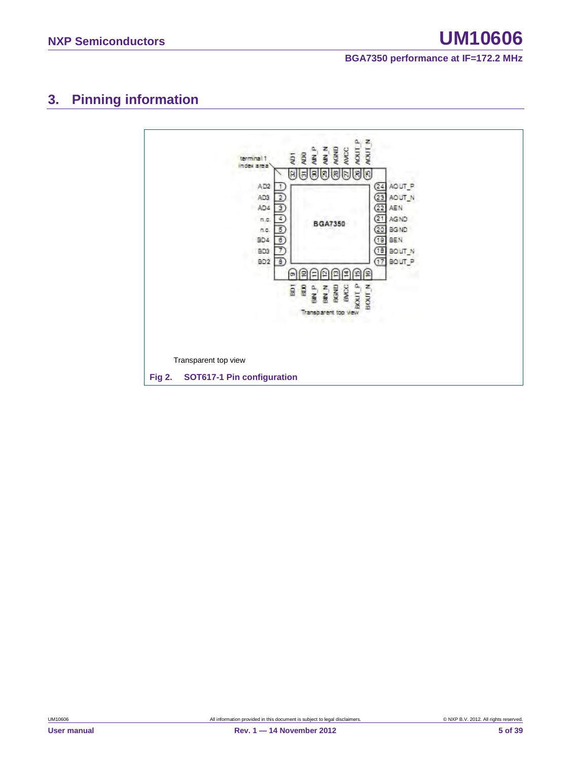# <span id="page-4-0"></span>**3. Pinning information**

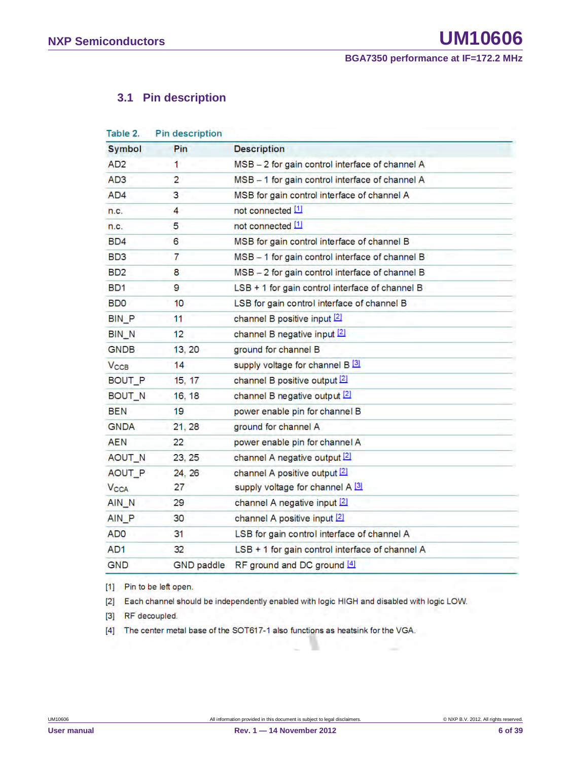### <span id="page-5-0"></span>**3.1 Pin description**

| Table 2.               | <b>Pin description</b> |                                                 |  |
|------------------------|------------------------|-------------------------------------------------|--|
| <b>Symbol</b>          | Pin                    | <b>Description</b>                              |  |
| AD <sub>2</sub>        | 1                      | MSB - 2 for gain control interface of channel A |  |
| AD <sub>3</sub>        | $\overline{2}$         | MSB - 1 for gain control interface of channel A |  |
| AD4                    | 3                      | MSB for gain control interface of channel A     |  |
| n.c.                   | 4                      | not connected [1]                               |  |
| n.c.                   | 5                      | not connected [1]                               |  |
| BD4                    | 6                      | MSB for gain control interface of channel B     |  |
| BD3                    | 7                      | MSB - 1 for gain control interface of channel B |  |
| BD <sub>2</sub>        | 8                      | MSB - 2 for gain control interface of channel B |  |
| BD <sub>1</sub>        | 9                      | LSB + 1 for gain control interface of channel B |  |
| <b>BDO</b>             | 10                     | LSB for gain control interface of channel B     |  |
| <b>BIN P</b>           | 11                     | channel B positive input [2]                    |  |
| BIN_N                  | 12                     | channel B negative input [2]                    |  |
| <b>GNDB</b>            | 13, 20                 | ground for channel B                            |  |
| $V_{\text{CCB}}$       | 14                     | supply voltage for channel B [3]                |  |
| <b>BOUT P</b>          | 15, 17                 | channel B positive output 2                     |  |
| BOUT_N                 | 16, 18                 | channel B negative output [2]                   |  |
| BEN                    | 19                     | power enable pin for channel B                  |  |
| <b>GNDA</b>            | 21, 28                 | ground for channel A                            |  |
| <b>AEN</b>             | 22                     | power enable pin for channel A                  |  |
| AOUT_N                 | 23, 25                 | channel A negative output [2]                   |  |
| AOUT_P                 | 24, 26                 | channel A positive output [2]                   |  |
| <b>V<sub>CCA</sub></b> | 27                     | supply voltage for channel A [3]                |  |
| AIN N                  | 29                     | channel A negative input [2]                    |  |
| AIN P                  | 30                     | channel A positive input [2]                    |  |
| AD <sub>0</sub>        | 31                     | LSB for gain control interface of channel A     |  |
| AD <sub>1</sub>        | 32                     | LSB + 1 for gain control interface of channel A |  |
| <b>GND</b>             | <b>GND</b> paddle      | RF ground and DC ground [4]                     |  |

[1] Pin to be left open.

[2] Each channel should be independently enabled with logic HIGH and disabled with logic LOW.

[3] RF decoupled.

[4] The center metal base of the SOT617-1 also functions as heatsink for the VGA.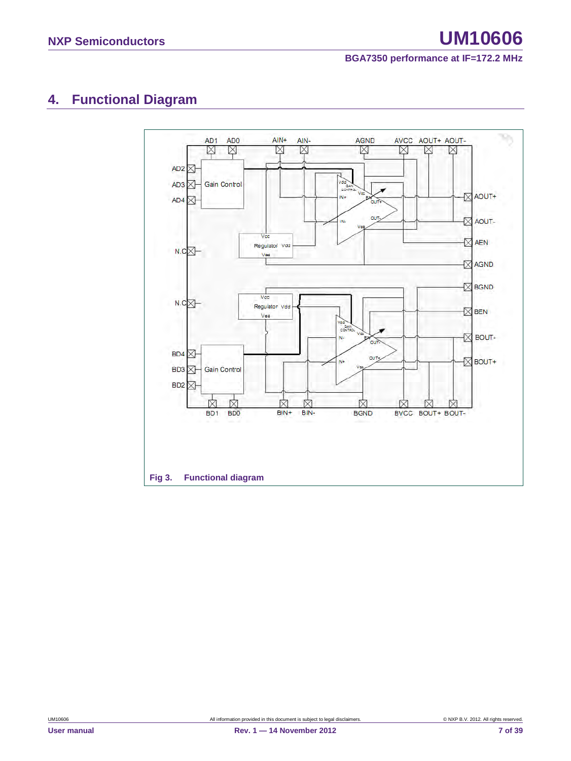# <span id="page-6-0"></span>**4. Functional Diagram**

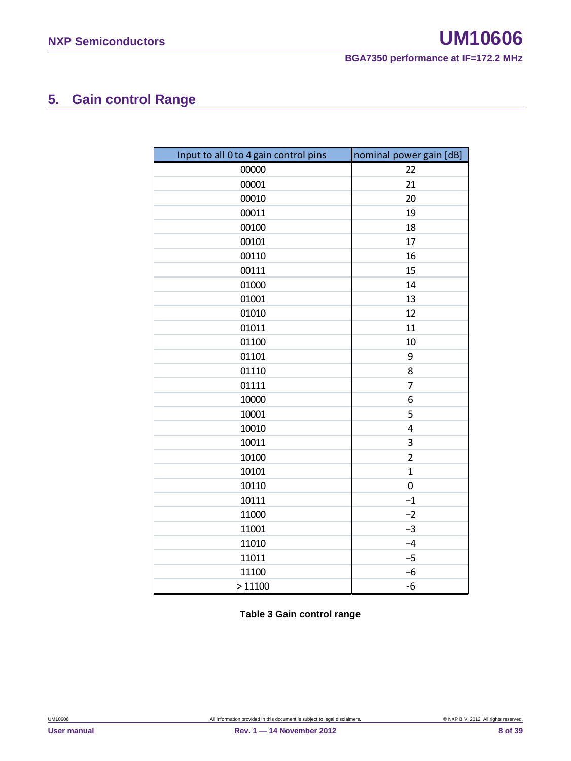# <span id="page-7-0"></span>**5. Gain control Range**

| Input to all 0 to 4 gain control pins | nominal power gain [dB] |
|---------------------------------------|-------------------------|
| 00000                                 | 22                      |
| 00001                                 | 21                      |
| 00010                                 | 20                      |
| 00011                                 | 19                      |
| 00100                                 | 18                      |
| 00101                                 | 17                      |
| 00110                                 | 16                      |
| 00111                                 | 15                      |
| 01000                                 | 14                      |
| 01001                                 | 13                      |
| 01010                                 | 12                      |
| 01011                                 | 11                      |
| 01100                                 | 10                      |
| 01101                                 | 9                       |
| 01110                                 | 8                       |
| 01111                                 | 7                       |
| 10000                                 | 6                       |
| 10001                                 | 5                       |
| 10010                                 | $\overline{4}$          |
| 10011                                 | 3                       |
| 10100                                 | $\overline{2}$          |
| 10101                                 | $\mathbf{1}$            |
| 10110                                 | $\boldsymbol{0}$        |
| 10111                                 | $-1$                    |
| 11000                                 | $-2$                    |
| 11001                                 | $-3$                    |
| 11010                                 | $-4$                    |
| 11011                                 | $-5$                    |
| 11100                                 | $-6$                    |
| >11100                                | $-6$                    |

**Table 3 Gain control range**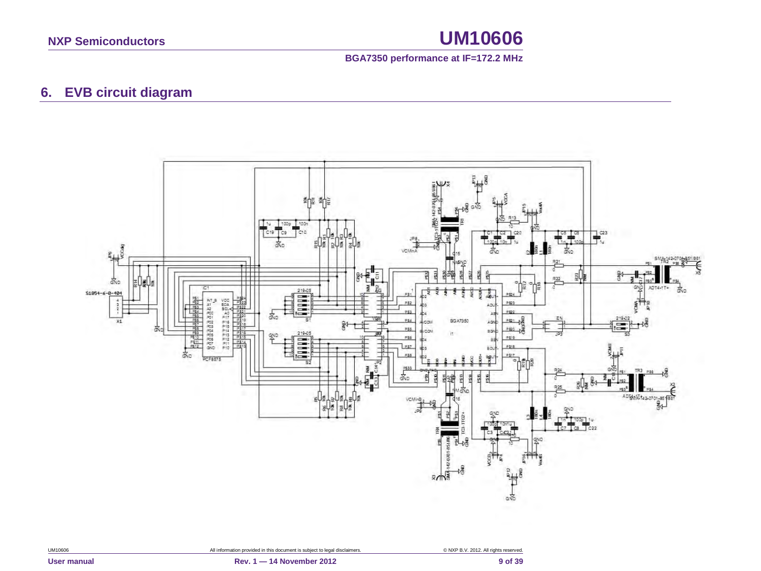### **BGA7350 performance at IF=172.2 MHz**

## **6. EVB circuit diagram**

<span id="page-8-0"></span>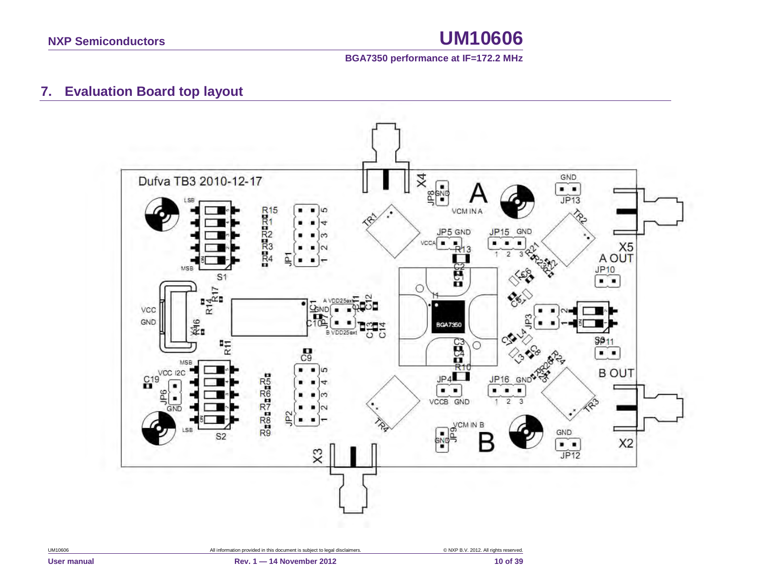

## **7. Evaluation Board top layout**

<span id="page-9-0"></span>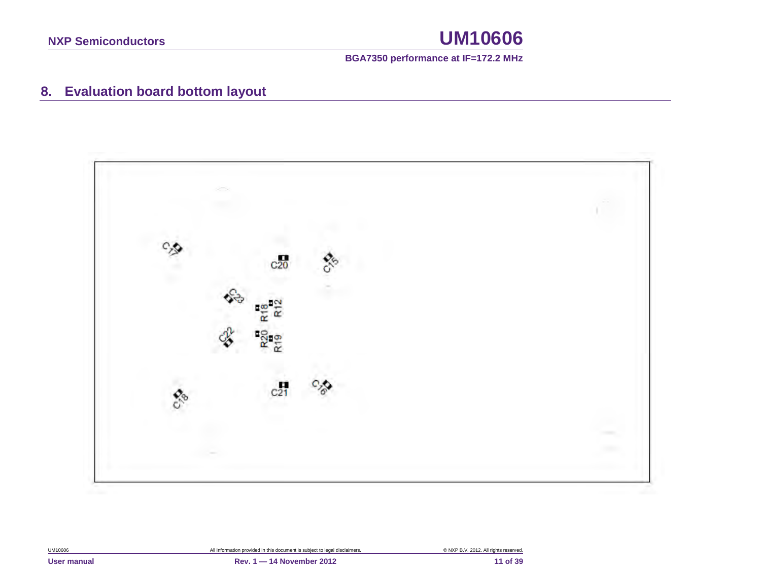

# **8. Evaluation board bottom layout**

<span id="page-10-0"></span>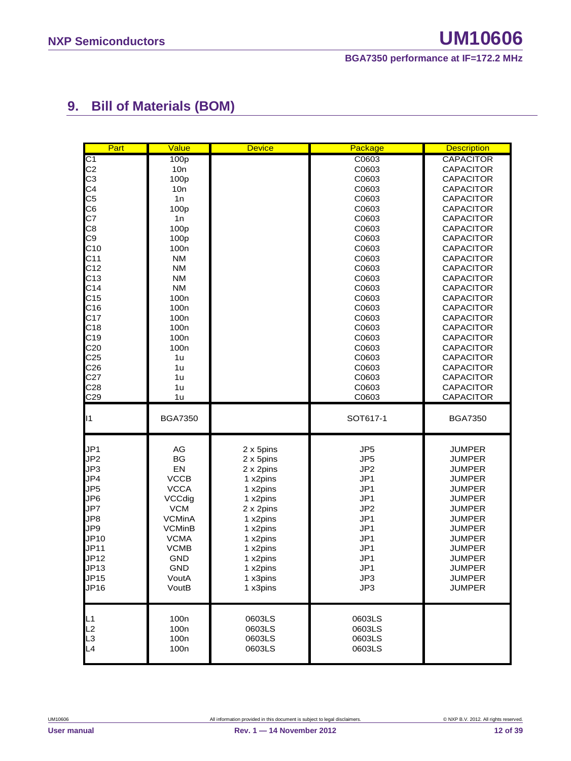# <span id="page-11-0"></span>**9. Bill of Materials (BOM)**

| Part                 | Value                                | <b>Device</b>        | Package                | <b>Description</b>             |
|----------------------|--------------------------------------|----------------------|------------------------|--------------------------------|
| C <sub>1</sub>       | 100p                                 |                      | C0603                  | <b>CAPACITOR</b>               |
| C <sub>2</sub>       | 10n                                  |                      | C0603                  | <b>CAPACITOR</b>               |
| C <sub>3</sub>       | 100 <sub>p</sub>                     |                      | C0603                  | <b>CAPACITOR</b>               |
| C <sub>4</sub>       | 10n                                  |                      | C0603                  | <b>CAPACITOR</b>               |
| C <sub>5</sub>       | 1n                                   |                      | C0603                  | CAPACITOR                      |
| C <sub>6</sub>       | 100p                                 |                      | C0603                  | <b>CAPACITOR</b>               |
| C7                   | 1n                                   |                      | C0603                  | CAPACITOR                      |
| C <sub>8</sub>       | 100p                                 |                      | C0603                  | CAPACITOR                      |
| C <sub>9</sub>       | 100p                                 |                      | C0603                  | <b>CAPACITOR</b>               |
| C10                  | 100 <sub>n</sub>                     |                      | C0603                  | <b>CAPACITOR</b>               |
| C <sub>11</sub>      | <b>NM</b>                            |                      | C0603                  | <b>CAPACITOR</b>               |
| C <sub>12</sub>      | <b>NM</b>                            |                      | C0603                  | <b>CAPACITOR</b>               |
| C13                  | <b>NM</b>                            |                      | C0603                  | <b>CAPACITOR</b>               |
| C <sub>14</sub>      | <b>NM</b>                            |                      | C0603                  | <b>CAPACITOR</b>               |
| C <sub>15</sub>      | 100 <sub>n</sub>                     |                      | C0603                  | <b>CAPACITOR</b>               |
| C16                  | 100 <sub>n</sub>                     |                      | C0603                  | <b>CAPACITOR</b>               |
| C <sub>17</sub>      | 100 <sub>n</sub>                     |                      | C0603                  | <b>CAPACITOR</b>               |
| C18                  | 100 <sub>n</sub>                     |                      | C0603                  | <b>CAPACITOR</b>               |
| C <sub>19</sub>      | 100 <sub>n</sub>                     |                      | C0603                  | <b>CAPACITOR</b>               |
| C <sub>20</sub>      | 100 <sub>n</sub>                     |                      | C0603                  | <b>CAPACITOR</b>               |
| C <sub>25</sub>      | 1u                                   |                      | C0603                  | <b>CAPACITOR</b>               |
| C <sub>26</sub>      | 1u                                   |                      | C0603                  | <b>CAPACITOR</b>               |
|                      | 1u                                   |                      | C0603                  |                                |
| C <sub>27</sub>      |                                      |                      |                        | <b>CAPACITOR</b>               |
| C <sub>28</sub>      | 1u<br>1u                             |                      | C0603                  | <b>CAPACITOR</b>               |
| C <sub>29</sub>      |                                      |                      | C0603                  | <b>CAPACITOR</b>               |
|                      |                                      |                      |                        |                                |
| 11                   | <b>BGA7350</b>                       |                      | SOT617-1               | <b>BGA7350</b>                 |
|                      |                                      |                      |                        |                                |
| JP <sub>1</sub>      | AG                                   | 2 x 5pins            | JP <sub>5</sub>        | <b>JUMPER</b>                  |
| JP <sub>2</sub>      | BG                                   | 2 x 5pins            | JP <sub>5</sub>        | <b>JUMPER</b>                  |
| JP3                  | EN                                   | 2 x 2pins            | JP <sub>2</sub>        | <b>JUMPER</b>                  |
| JP4                  | <b>VCCB</b>                          | 1 x2pins             | JP1                    | <b>JUMPER</b>                  |
| JP <sub>5</sub>      | <b>VCCA</b>                          | 1 x2pins             | JP1                    | <b>JUMPER</b><br><b>JUMPER</b> |
| JP6                  | VCCdig                               | 1 x2pins             | JP1                    | <b>JUMPER</b>                  |
| JP7                  | <b>VCM</b><br><b>VCMinA</b>          | 2 x 2pins            | JP <sub>2</sub><br>JP1 | <b>JUMPER</b>                  |
| JP8<br>JP9           | <b>VCMinB</b>                        | 1 x2pins             | JP1                    | <b>JUMPER</b>                  |
| JP10                 | <b>VCMA</b>                          | 1 x2pins             | JP1                    | <b>JUMPER</b>                  |
| JP11                 | <b>VCMB</b>                          | 1 x2pins             | JP1                    | <b>JUMPER</b>                  |
| JP12                 | <b>GND</b>                           | 1 x2pins             | JP1                    | <b>JUMPER</b>                  |
| JP13                 | GND                                  | 1 x2pins<br>1 x2pins | JP1                    | <b>JUMPER</b>                  |
|                      |                                      |                      |                        |                                |
| JP15<br>JP16         | VoutA<br>VoutB                       | 1 x3pins<br>1 x3pins | JP3<br>JP3             | <b>JUMPER</b><br><b>JUMPER</b> |
|                      |                                      |                      |                        |                                |
| L1                   | 100 <sub>n</sub>                     | 0603LS               | 0603LS                 |                                |
| L2                   | 100 <sub>n</sub>                     | 0603LS               | 0603LS                 |                                |
| L <sub>3</sub><br>L4 | 100 <sub>n</sub><br>100 <sub>n</sub> | 0603LS<br>0603LS     | 0603LS<br>0603LS       |                                |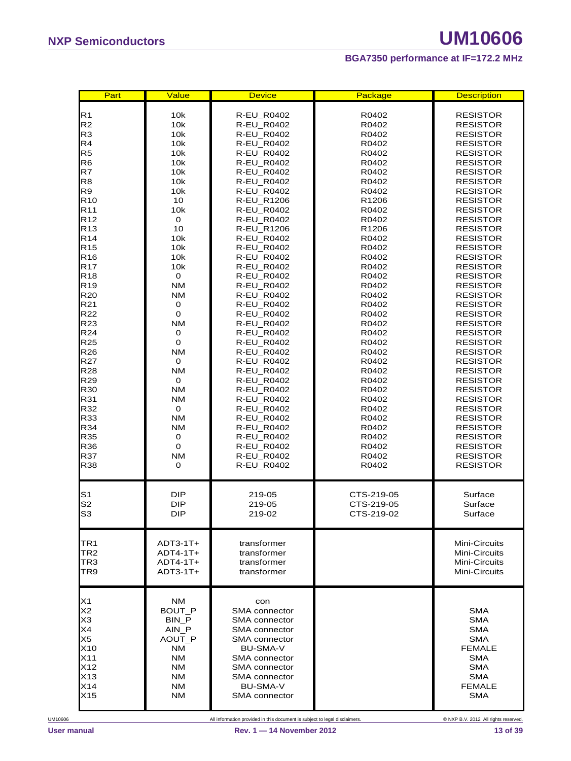| Part                               | Value          | <b>Device</b>                         | Package                    | <b>Description</b>                 |
|------------------------------------|----------------|---------------------------------------|----------------------------|------------------------------------|
| R <sub>1</sub>                     | 10k            | <b>R-EU R0402</b>                     | R0402                      | <b>RESISTOR</b>                    |
| R <sub>2</sub>                     | 10k            | R-EU_R0402                            | R0402                      | <b>RESISTOR</b>                    |
| R <sub>3</sub>                     | 10k            | R-EU_R0402                            | R0402                      | <b>RESISTOR</b>                    |
| R4                                 | 10k            | R-EU_R0402                            | R0402                      | <b>RESISTOR</b>                    |
| R <sub>5</sub>                     | 10k            | R-EU_R0402                            | R0402                      | <b>RESISTOR</b>                    |
| R <sub>6</sub>                     | 10k            | R-EU_R0402                            | R0402                      | <b>RESISTOR</b>                    |
| R7                                 | 10k            | R-EU_R0402                            | R0402                      | <b>RESISTOR</b>                    |
| R <sub>8</sub>                     | 10k            | R-EU_R0402                            | R0402                      | <b>RESISTOR</b>                    |
| R9                                 | 10k            | R-EU_R0402                            | R0402                      | <b>RESISTOR</b>                    |
| R <sub>10</sub><br>R <sub>11</sub> | 10<br>10k      | R-EU_R1206<br>R-EU_R0402              | R <sub>1206</sub><br>R0402 | RESISTOR<br><b>RESISTOR</b>        |
| R <sub>12</sub>                    | 0              | R-EU_R0402                            | R0402                      | <b>RESISTOR</b>                    |
| R <sub>13</sub>                    | 10             | R-EU_R1206                            | R <sub>1206</sub>          | RESISTOR                           |
| R <sub>14</sub>                    | 10k            | R-EU_R0402                            | R0402                      | <b>RESISTOR</b>                    |
| R <sub>15</sub>                    | 10k            | R-EU_R0402                            | R0402                      | <b>RESISTOR</b>                    |
| R <sub>16</sub>                    | 10k            | R-EU_R0402                            | R0402                      | <b>RESISTOR</b>                    |
| R <sub>17</sub>                    | 10k            | R-EU_R0402                            | R0402                      | <b>RESISTOR</b>                    |
| R <sub>18</sub>                    | $\mathbf 0$    | R-EU_R0402                            | R0402                      | <b>RESISTOR</b>                    |
| R <sub>19</sub>                    | <b>NM</b>      | <b>R-EU R0402</b>                     | R0402                      | <b>RESISTOR</b>                    |
| R <sub>20</sub>                    | <b>NM</b>      | <b>R-EU R0402</b>                     | R0402                      | RESISTOR                           |
| R21                                | 0              | R-EU_R0402                            | R0402                      | <b>RESISTOR</b>                    |
| R22                                | $\mathbf 0$    | <b>R-EU R0402</b>                     | R0402                      | <b>RESISTOR</b>                    |
| R <sub>23</sub>                    | <b>NM</b>      | R-EU_R0402                            | R0402                      | <b>RESISTOR</b>                    |
| R24                                | 0              | R-EU_R0402                            | R0402                      | RESISTOR                           |
| R <sub>25</sub>                    | $\mathbf 0$    | R-EU_R0402                            | R0402                      | <b>RESISTOR</b>                    |
| R <sub>26</sub>                    | <b>NM</b>      | R-EU_R0402                            | R0402                      | <b>RESISTOR</b>                    |
| R <sub>27</sub>                    | 0<br><b>NM</b> | R-EU_R0402                            | R0402                      | RESISTOR                           |
| R <sub>28</sub><br>R <sub>29</sub> | $\mathbf 0$    | R-EU_R0402<br>R-EU_R0402              | R0402<br>R0402             | <b>RESISTOR</b><br><b>RESISTOR</b> |
| R30                                | <b>NM</b>      | R-EU_R0402                            | R0402                      | <b>RESISTOR</b>                    |
| R31                                | <b>NM</b>      | R-EU_R0402                            | R0402                      | <b>RESISTOR</b>                    |
| R32                                | $\mathbf 0$    | <b>R-EU R0402</b>                     | R0402                      | <b>RESISTOR</b>                    |
| R33                                | <b>NM</b>      | R-EU_R0402                            | R0402                      | <b>RESISTOR</b>                    |
| R34                                | <b>NM</b>      | R-EU_R0402                            | R0402                      | <b>RESISTOR</b>                    |
| R35                                | 0              | R-EU_R0402                            | R0402                      | <b>RESISTOR</b>                    |
| R36                                | $\mathbf 0$    | R-EU_R0402                            | R0402                      | <b>RESISTOR</b>                    |
| R37                                | <b>NM</b>      | R-EU_R0402                            | R0402                      | <b>RESISTOR</b>                    |
| R38                                | 0              | <b>R-EU R0402</b>                     | R0402                      | RESISTOR                           |
|                                    |                |                                       |                            |                                    |
| S <sub>1</sub>                     | DIP            | 219-05                                | CTS-219-05                 | Surface                            |
| S <sub>2</sub>                     | <b>DIP</b>     | 219-05                                | CTS-219-05                 | Surface                            |
| S <sub>3</sub>                     | <b>DIP</b>     | 219-02                                | CTS-219-02                 | Surface                            |
|                                    |                |                                       |                            |                                    |
| TR <sub>1</sub>                    | $ADT3-1T+$     | transformer                           |                            | Mini-Circuits                      |
| TR <sub>2</sub>                    | $ADT4-1T+$     | transformer                           |                            | Mini-Circuits                      |
| TR3                                | $ADT4-1T+$     | transformer                           |                            | Mini-Circuits                      |
| TR9                                | $ADT3-1T+$     | transformer                           |                            | Mini-Circuits                      |
|                                    |                |                                       |                            |                                    |
| X1                                 | <b>NM</b>      | con                                   |                            |                                    |
| X <sub>2</sub>                     | <b>BOUT P</b>  | <b>SMA</b> connector                  |                            | <b>SMA</b>                         |
| X3<br>X4                           | BIN P<br>AIN_P | <b>SMA</b> connector<br>SMA connector |                            | <b>SMA</b><br><b>SMA</b>           |
| X <sub>5</sub>                     | AOUT_P         | SMA connector                         |                            | <b>SMA</b>                         |
| X10                                | <b>NM</b>      | <b>BU-SMA-V</b>                       |                            | <b>FEMALE</b>                      |
| X11                                | NM             | SMA connector                         |                            | <b>SMA</b>                         |
| X12                                | NM             | <b>SMA</b> connector                  |                            | <b>SMA</b>                         |
| X13                                | <b>NM</b>      | SMA connector                         |                            | <b>SMA</b>                         |
| X14                                | NM             | <b>BU-SMA-V</b>                       |                            | <b>FEMALE</b>                      |
| X15                                | <b>NM</b>      | SMA connector                         |                            | <b>SMA</b>                         |
|                                    |                |                                       |                            |                                    |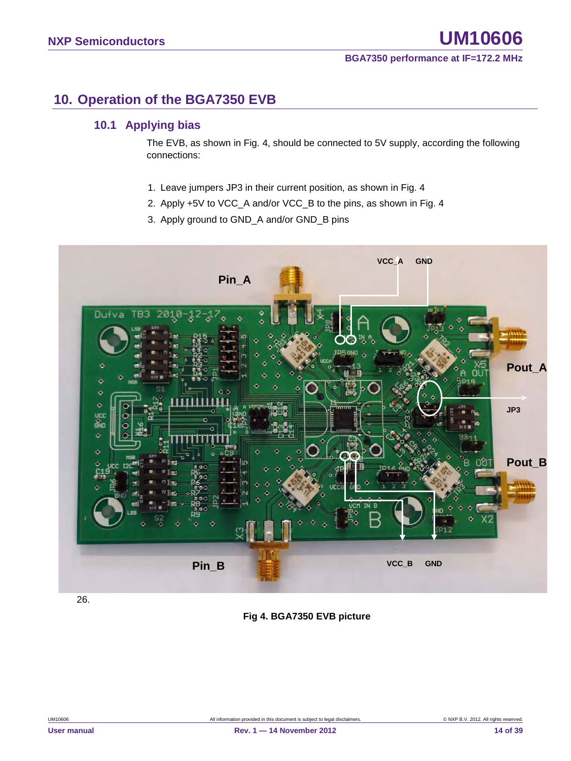### <span id="page-13-0"></span>**10. Operation of the BGA7350 EVB**

### <span id="page-13-1"></span>**10.1 Applying bias**

The EVB, as shown in Fig. 4, should be connected to 5V supply, according the following connections:

- 1. Leave jumpers JP3 in their current position, as shown in Fig. 4
- 2. Apply +5V to VCC\_A and/or VCC\_B to the pins, as shown in Fig. 4
- 3. Apply ground to GND\_A and/or GND\_B pins



26.

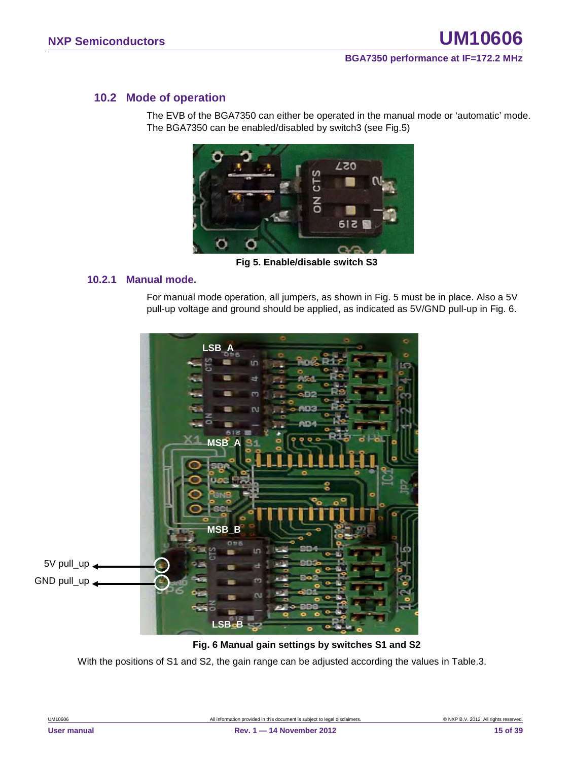### <span id="page-14-0"></span>**10.2 Mode of operation**

The EVB of the BGA7350 can either be operated in the manual mode or 'automatic' mode. The BGA7350 can be enabled/disabled by switch3 (see Fig.5)



**Fig 5. Enable/disable switch S3**

### <span id="page-14-1"></span>**10.2.1 Manual mode.**

For manual mode operation, all jumpers, as shown in Fig. 5 must be in place. Also a 5V pull-up voltage and ground should be applied, as indicated as 5V/GND pull-up in Fig. 6.



#### **Fig. 6 Manual gain settings by switches S1 and S2**

With the positions of S1 and S2, the gain range can be adjusted according the values in Table.3.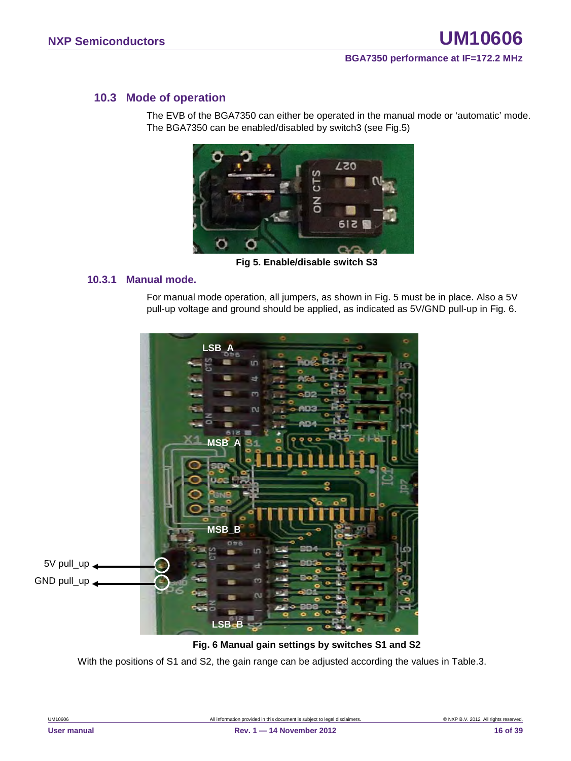### <span id="page-15-0"></span>**10.3 Mode of operation**

The EVB of the BGA7350 can either be operated in the manual mode or 'automatic' mode. The BGA7350 can be enabled/disabled by switch3 (see Fig.5)



**Fig 5. Enable/disable switch S3**

### <span id="page-15-1"></span>**10.3.1 Manual mode.**

For manual mode operation, all jumpers, as shown in Fig. 5 must be in place. Also a 5V pull-up voltage and ground should be applied, as indicated as 5V/GND pull-up in Fig. 6.



#### **Fig. 6 Manual gain settings by switches S1 and S2**

With the positions of S1 and S2, the gain range can be adjusted according the values in Table.3.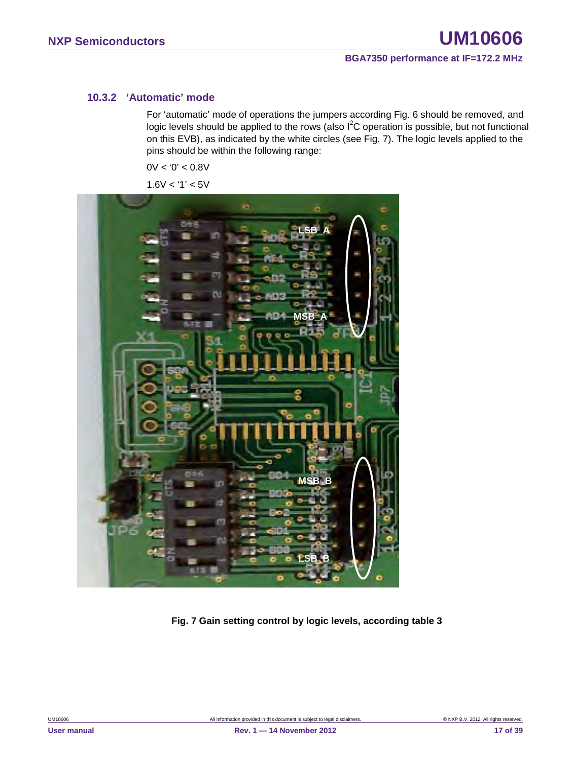### <span id="page-16-0"></span>**10.3.2 'Automatic' mode**

For 'automatic' mode of operations the jumpers according Fig. 6 should be removed, and logic levels should be applied to the rows (also  $I^2C$  operation is possible, but not functional on this EVB), as indicated by the white circles (see Fig. 7). The logic levels applied to the pins should be within the following range:

 $0V < 0' < 0.8V$ 

 $1.6V < 1' < 5V$ 



**Fig. 7 Gain setting control by logic levels, according table 3**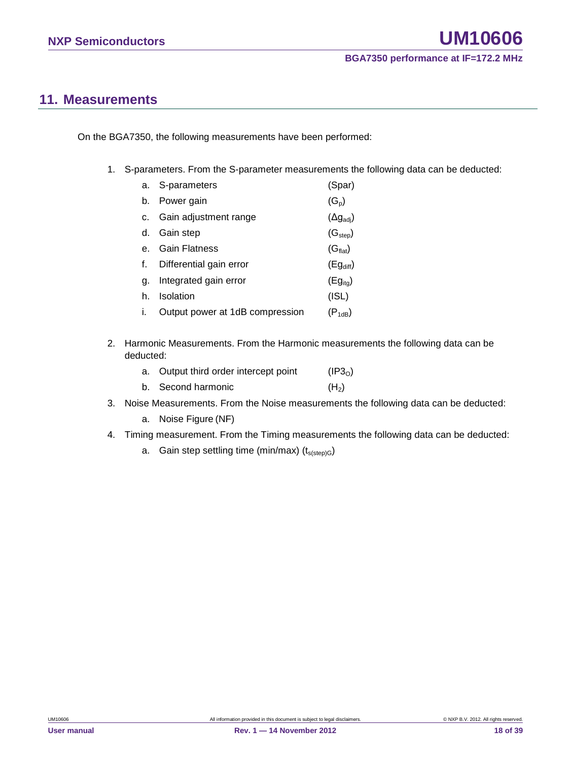### <span id="page-17-0"></span>**11. Measurements**

On the BGA7350, the following measurements have been performed:

1. S-parameters. From the S-parameter measurements the following data can be deducted:

|    | a. S-parameters                 | (Spar)                    |
|----|---------------------------------|---------------------------|
| b. | Power gain                      | $(G_p)$                   |
| C. | Gain adjustment range           | $(\Delta g_{\text{adj}})$ |
| d. | Gain step                       | (G <sub>step</sub> )      |
|    | <b>Gain Flatness</b>            | (G <sub>flat</sub> )      |
|    | Differential gain error         | $(Eg_{diff})$             |
| α. | Integrated gain error           | $(Eg_{ita})$              |
| h. | Isolation                       | (ISL)                     |
|    | Output power at 1dB compression | $(P_{1dB})$               |

2. Harmonic Measurements. From the Harmonic measurements the following data can be deducted:

| a. Output third order intercept point | (IP3 <sub>0</sub> ) |
|---------------------------------------|---------------------|
| b. Second harmonic                    | (H <sub>2</sub> )   |

- 3. Noise Measurements. From the Noise measurements the following data can be deducted:
	- a. Noise Figure (NF)
- 4. Timing measurement. From the Timing measurements the following data can be deducted:
	- a. Gain step settling time (min/max)  $(t_{s(sep)G})$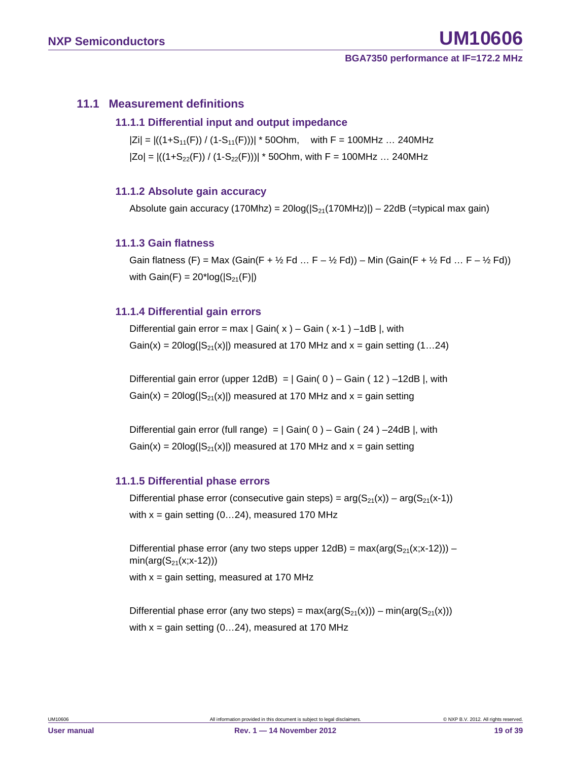### <span id="page-18-1"></span><span id="page-18-0"></span>**11.1 Measurement definitions**

### **11.1.1 Differential input and output impedance**

 $|Zi| = |((1+S_{11}(F)) / (1-S_{11}(F)))| * 50Ohm$ , with F = 100MHz ... 240MHz  $|Zo| = |((1+S_{22}(F)) / (1-S_{22}(F)))| * 50Ohm$ , with F = 100MHz ... 240MHz

### <span id="page-18-2"></span>**11.1.2 Absolute gain accuracy**

Absolute gain accuracy (170Mhz) =  $20\log(|S_{21}(170MHz)|) - 22dB$  (=typical max gain)

#### <span id="page-18-3"></span>**11.1.3 Gain flatness**

Gain flatness (F) = Max (Gain(F +  $\frac{1}{2}$  Fd ... F –  $\frac{1}{2}$  Fd)) – Min (Gain(F +  $\frac{1}{2}$  Fd ... F –  $\frac{1}{2}$  Fd)) with  $Gain(F) = 20*log(|S_{21}(F)|)$ 

### <span id="page-18-4"></span>**11.1.4 Differential gain errors**

Differential gain error = max  $|$  Gain( x  $)$  – Gain (x-1) –1dB |, with Gain(x) =  $20\log(|S_{21}(x)|)$  measured at 170 MHz and x = gain setting (1...24)

Differential gain error (upper 12dB) =  $|$  Gain( 0 ) – Gain ( 12 ) –12dB |, with  $Gain(x) = 20log(|S_{21}(x)|)$  measured at 170 MHz and  $x = gain$  setting

Differential gain error (full range) =  $|$  Gain( 0 ) – Gain ( 24 ) –24dB |, with  $Gain(x) = 20log(|S_{21}(x)|)$  measured at 170 MHz and  $x = gain$  setting

### <span id="page-18-5"></span>**11.1.5 Differential phase errors**

Differential phase error (consecutive gain steps) =  $arg(S_{21}(x)) - arg(S_{21}(x-1))$ with  $x =$  gain setting (0...24), measured 170 MHz

Differential phase error (any two steps upper  $12dB$ ) = max( $arg(S_{21}(x;x-12))$ ) –  $min(arg(S_{21}(x; x-12)))$ with  $x =$  gain setting, measured at 170 MHz

Differential phase error (any two steps) =  $max(arg(S_{21}(x))) - min(arg(S_{21}(x)))$ with  $x =$  gain setting (0...24), measured at 170 MHz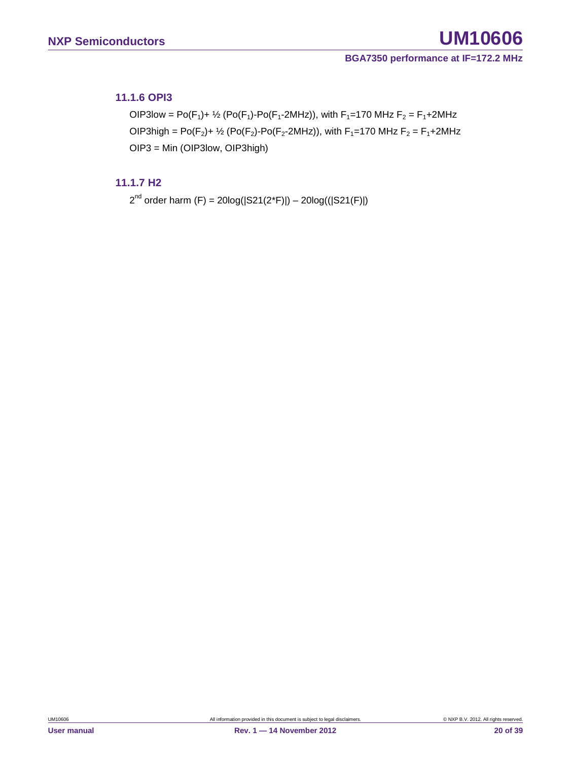### <span id="page-19-0"></span>**11.1.6 OPI3**

OIP3low = Po(F<sub>1</sub>)+ <sup>1</sup>/<sub>2</sub> (Po(F<sub>1</sub>)-Po(F<sub>1</sub>-2MHz)), with F<sub>1</sub>=170 MHz F<sub>2</sub> = F<sub>1</sub>+2MHz OIP3high = Po( $F_2$ )+  $\frac{1}{2}$  (Po( $F_2$ )-Po( $F_2$ -2MHz)), with  $F_1$ =170 MHz  $F_2 = F_1 + 2M$ Hz OIP3 = Min (OIP3low, OIP3high)

### <span id="page-19-1"></span>**11.1.7 H2**

 $2^{nd}$  order harm (F) = 20log( $|S21(2<sup>*</sup>F)|$ ) – 20log( $(|S21(F)|)$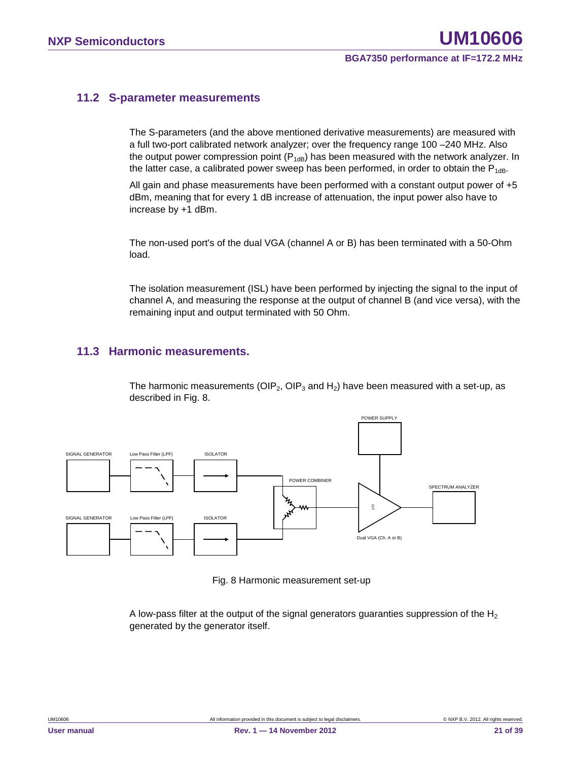### <span id="page-20-0"></span>**11.2 S-parameter measurements**

The S-parameters (and the above mentioned derivative measurements) are measured with a full two-port calibrated network analyzer; over the frequency range 100 –240 MHz. Also the output power compression point  $(P_{1dB})$  has been measured with the network analyzer. In the latter case, a calibrated power sweep has been performed, in order to obtain the  $P_{1dB}$ .

All gain and phase measurements have been performed with a constant output power of +5 dBm, meaning that for every 1 dB increase of attenuation, the input power also have to increase by +1 dBm.

The non-used port's of the dual VGA (channel A or B) has been terminated with a 50-Ohm load.

The isolation measurement (ISL) have been performed by injecting the signal to the input of channel A, and measuring the response at the output of channel B (and vice versa), with the remaining input and output terminated with 50 Ohm.

### <span id="page-20-1"></span>**11.3 Harmonic measurements.**

The harmonic measurements (OIP<sub>2</sub>, OIP<sub>3</sub> and H<sub>2</sub>) have been measured with a set-up, as described in Fig. 8.



Fig. 8 Harmonic measurement set-up

A low-pass filter at the output of the signal generators guaranties suppression of the  $H_2$ generated by the generator itself.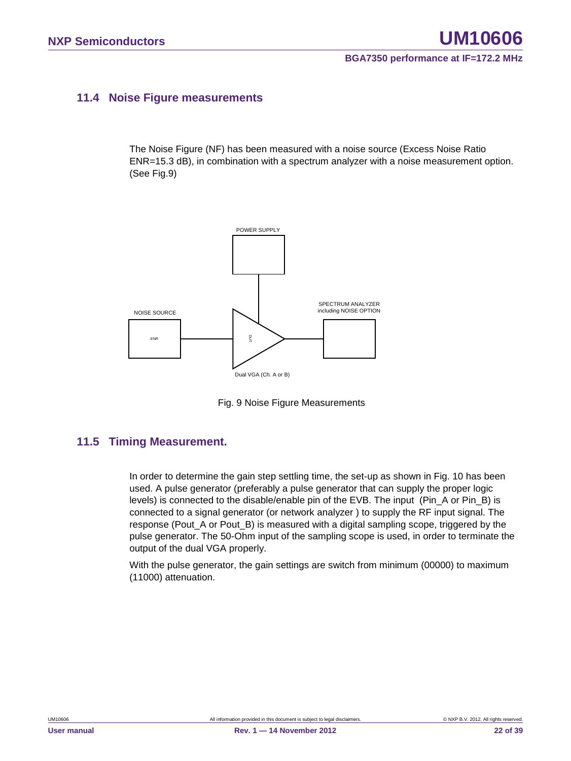### <span id="page-21-0"></span>**11.4 Noise Figure measurements**

The Noise Figure (NF) has been measured with a noise source (Excess Noise Ratio ENR=15.3 dB), in combination with a spectrum analyzer with a noise measurement option. (See Fig.9)



Fig. 9 Noise Figure Measurements

### <span id="page-21-1"></span>**11.5 Timing Measurement.**

In order to determine the gain step settling time, the set-up as shown in Fig. 10 has been used. A pulse generator (preferably a pulse generator that can supply the proper logic levels) is connected to the disable/enable pin of the EVB. The input (Pin\_A or Pin\_B) is connected to a signal generator (or network analyzer ) to supply the RF input signal. The response (Pout A or Pout B) is measured with a digital sampling scope, triggered by the pulse generator. The 50-Ohm input of the sampling scope is used, in order to terminate the output of the dual VGA properly.

With the pulse generator, the gain settings are switch from minimum (00000) to maximum (11000) attenuation.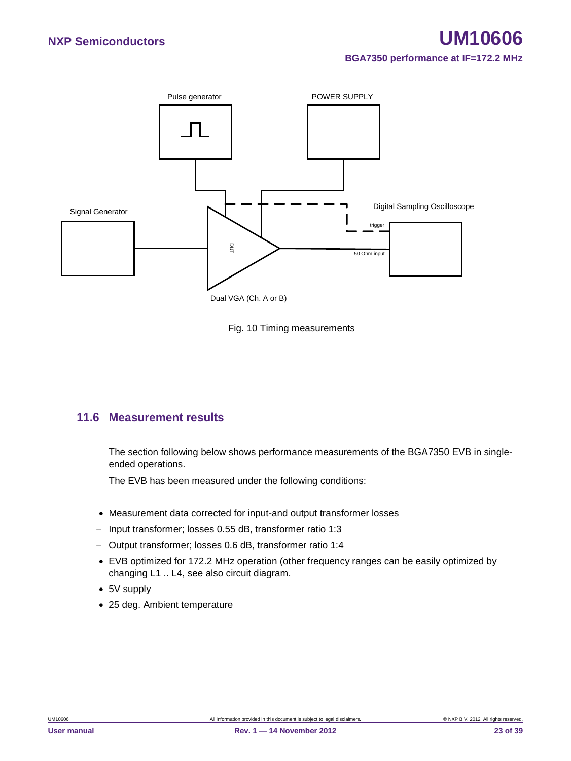



### <span id="page-22-0"></span>**11.6 Measurement results**

The section following below shows performance measurements of the BGA7350 EVB in singleended operations.

The EVB has been measured under the following conditions:

- Measurement data corrected for input-and output transformer losses
- − Input transformer; losses 0.55 dB, transformer ratio 1:3
- − Output transformer; losses 0.6 dB, transformer ratio 1:4
- EVB optimized for 172.2 MHz operation (other frequency ranges can be easily optimized by changing L1 .. L4, see also circuit diagram.
- 5V supply
-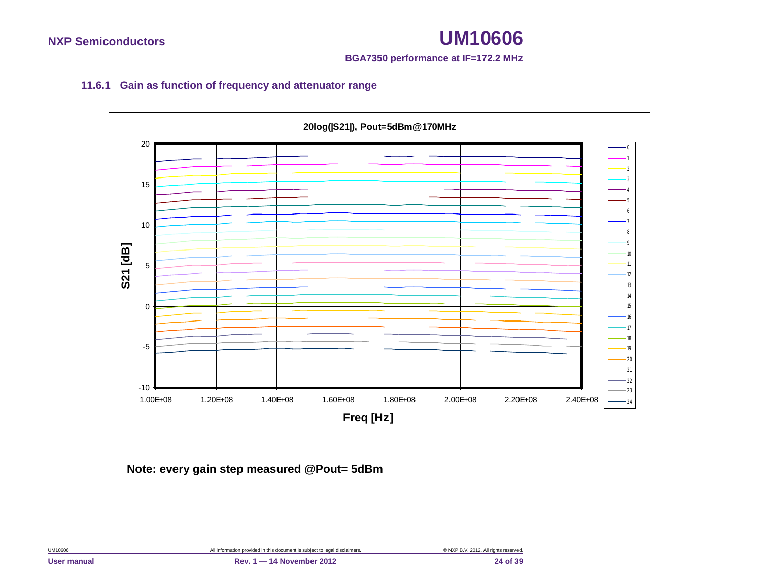### **BGA7350 performance at IF=172.2 MHz**

### **11.6.1 Gain as function of frequency and attenuator range**

<span id="page-23-0"></span>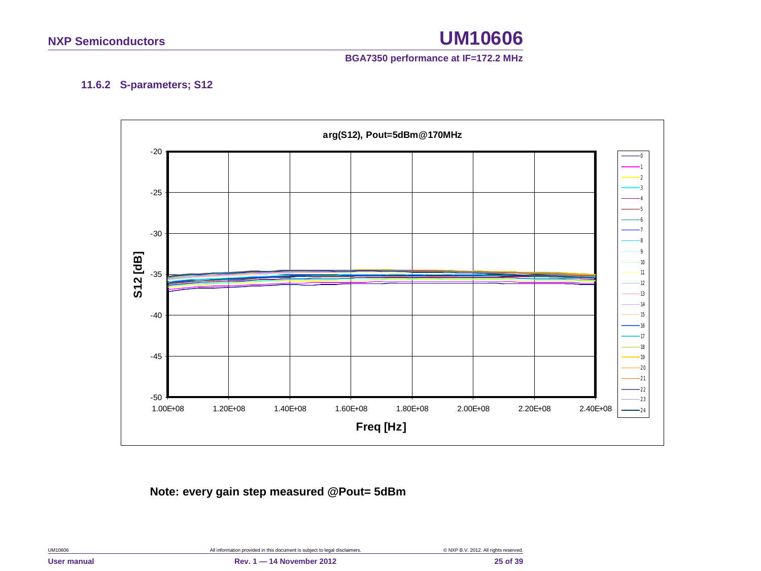### **BGA7350 performance at IF=172.2 MHz**

### **11.6.2 S-parameters; S12**

<span id="page-24-0"></span>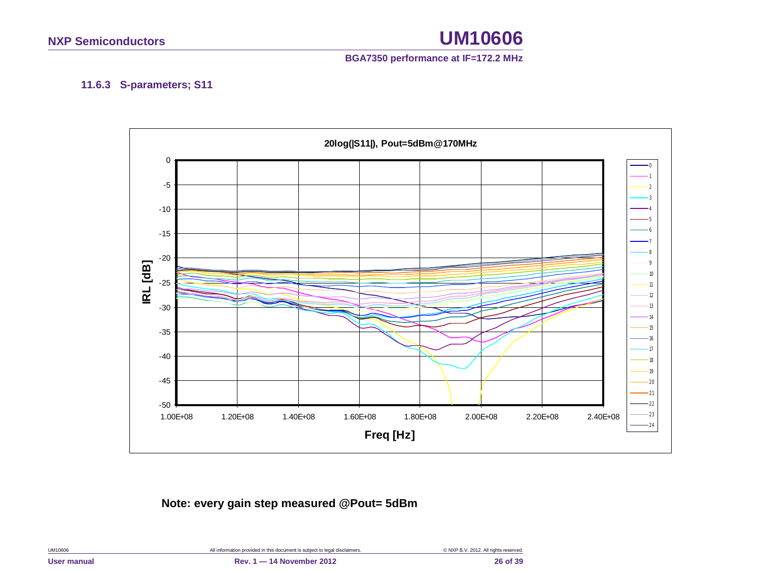### **BGA7350 performance at IF=172.2 MHz**

### **11.6.3 S-parameters; S11**

<span id="page-25-0"></span>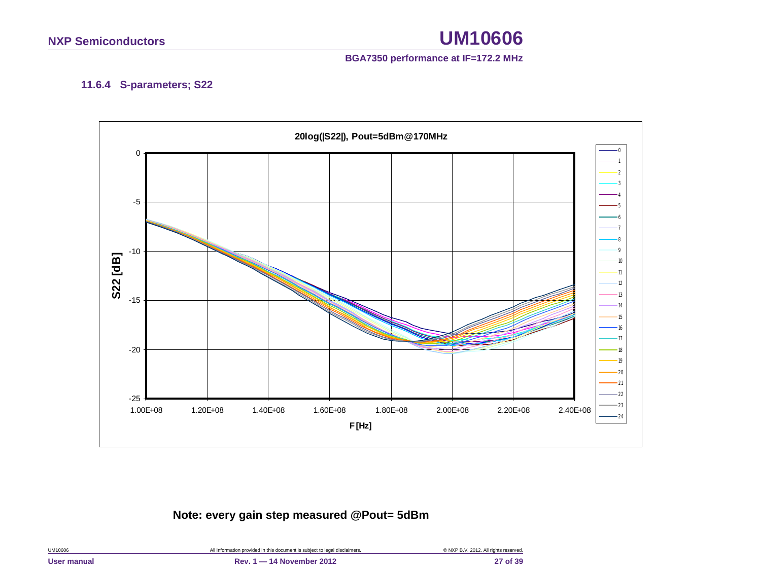### **BGA7350 performance at IF=172.2 MHz**

### **11.6.4 S-parameters; S22**

<span id="page-26-0"></span>

| UM10606     | All information provided in this document is subject to legal disclaimers. | © NXP B.V. 2012. All rights reserved. |
|-------------|----------------------------------------------------------------------------|---------------------------------------|
| User manual | Rev. 1 - 14 November 2012                                                  | 27 of 39                              |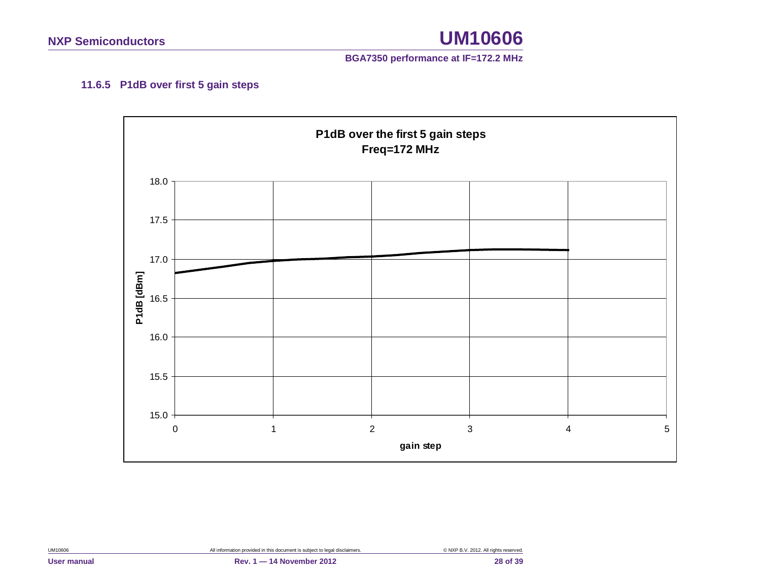

### **11.6.5 P1dB over first 5 gain steps**

<span id="page-27-0"></span>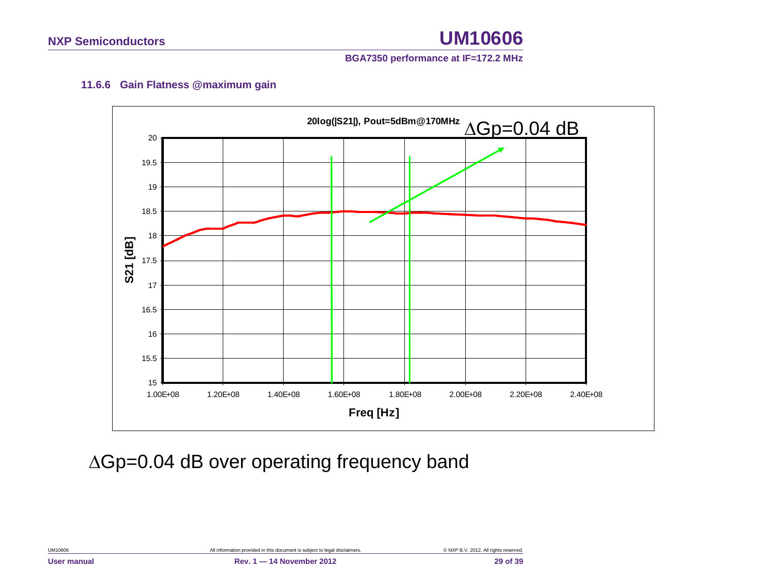

### **11.6.6 Gain Flatness @maximum gain**

<span id="page-28-0"></span>

∆Gp=0.04 dB over operating frequency band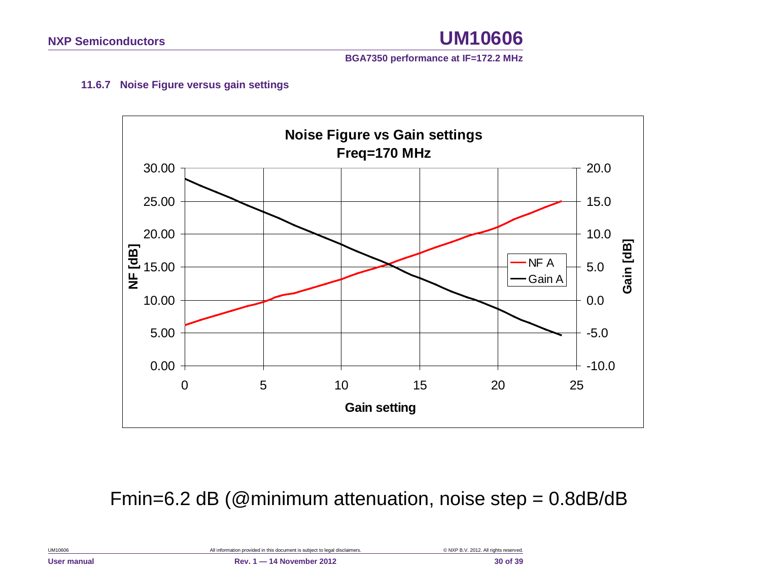

### **11.6.7 Noise Figure versus gain settings**

<span id="page-29-0"></span>

Fmin=6.2 dB (@minimum attenuation, noise step = 0.8dB/dB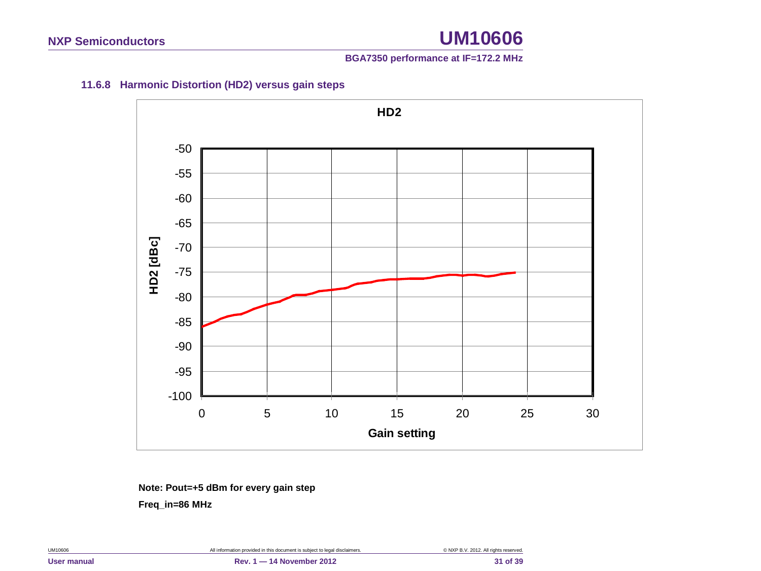### **BGA7350 performance at IF=172.2 MHz**

### <span id="page-30-0"></span>**11.6.8 Harmonic Distortion (HD2) versus gain steps**



**Note: Pout=+5 dBm for every gain step Freq\_in=86 MHz**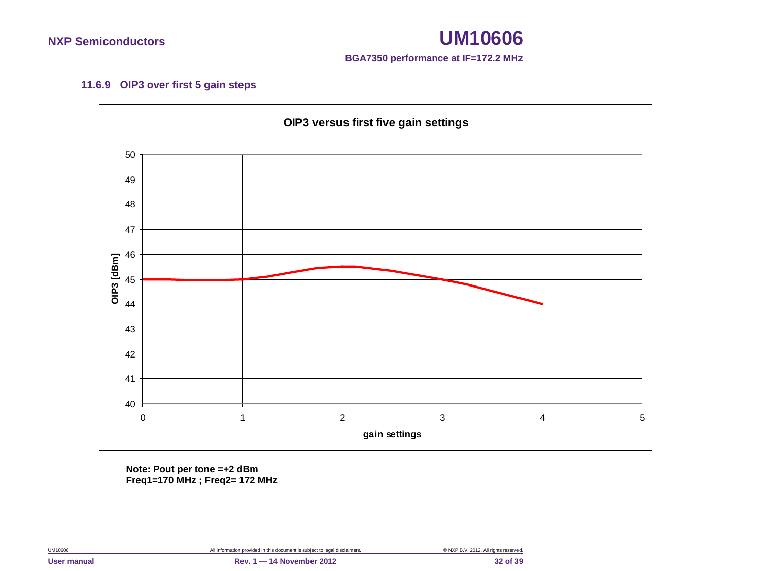

### **11.6.9 OIP3 over first 5 gain steps**

<span id="page-31-0"></span>

**Note: Pout per tone =+2 dBm Freq1=170 MHz ; Freq2= 172 MHz**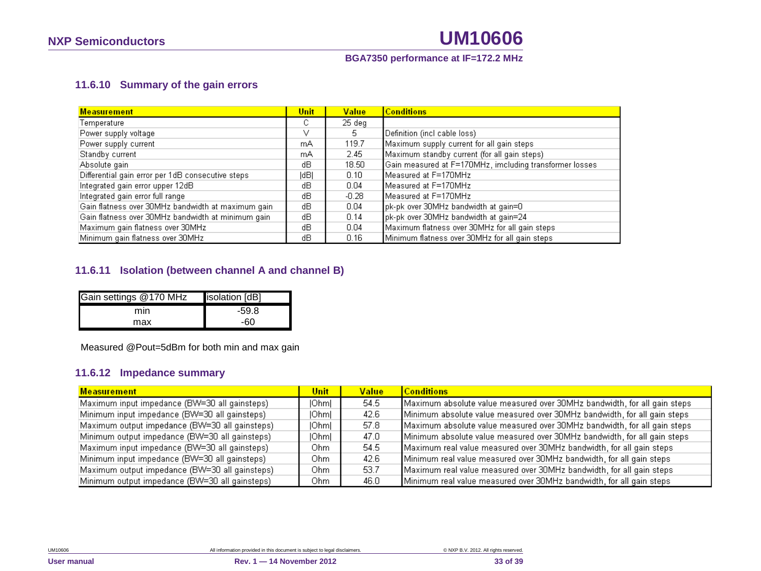### **BGA7350 performance at IF=172.2 MHz**

### **11.6.10 Summary of the gain errors**

| <b>Measurement</b>                                 | Unit | <b>Value</b> | <b>Conditions</b>                                       |
|----------------------------------------------------|------|--------------|---------------------------------------------------------|
| Temperature                                        | с    | 25 deg       |                                                         |
| Power supply voltage                               | v    | 5.           | Definition (incl cable loss)                            |
| Power supply current                               | mA   | 119.7        | Maximum supply current for all gain steps               |
| Standby current                                    | mA   | 2.45         | Maximum standby current (for all gain steps)            |
| Absolute gain                                      | dВ   | 18.50        | Gain measured at F=170MHz, imcluding transformer losses |
| Differential gain error per 1dB consecutive steps  | dB   | 0.10         | Measured at F=170MHz                                    |
| Integrated gain error upper 12dB                   | dВ   | 0.04         | Measured at F=170MHz                                    |
| Integrated gain error full range                   | dВ   | $-0.28$      | Measured at F=170MHz                                    |
| Gain flatness over 30MHz bandwidth at maximum gain | dВ   | 0.04         | pk-pk over 30MHz bandwidth at gain=0.                   |
| Gain flatness over 30MHz bandwidth at minimum gain | dВ   | 0.14         | pk-pk over 30MHz bandwidth at gain=24                   |
| Maximum gain flatness over 30MHz                   | dВ   | 0.04         | Maximum flatness over 30MHz for all gain steps          |
| Minimum gain flatness over 30MHz                   | dВ   | 0.16         | Minimum flatness over 30MHz for all gain steps          |

### <span id="page-32-0"></span>**11.6.11 Isolation (between channel A and channel B)**

| Gain settings @170 MHz | isolation [dB] |
|------------------------|----------------|
| mın                    | -59.8          |
| max                    | -60            |

Measured @Pout=5dBm for both min and max gain

### **11.6.12 Impedance summary**

<span id="page-32-1"></span>

| Measurement                                    | Unit  | <b>Value</b> | <b>Conditions</b>                                                        |
|------------------------------------------------|-------|--------------|--------------------------------------------------------------------------|
| Maximum input impedance (BW=30 all gainsteps)  | Ohm   | -54.5        | Maximum absolute value measured over 30MHz bandwidth, for all gain steps |
| Minimum input impedance (BW=30 all gainsteps)  | IOhml | 42.6         | Minimum absolute value measured over 30MHz bandwidth, for all gain steps |
| Maximum output impedance (BW=30 all gainsteps) | IOhml | 57.8         | Maximum absolute value measured over 30MHz bandwidth, for all gain steps |
| Minimum output impedance (BW=30 all gainsteps) | IOhml | 47.0         | Minimum absolute value measured over 30MHz bandwidth, for all gain steps |
| Maximum input impedance (BW=30 all gainsteps)  | Ohm.  | 54.5         | Maximum real value measured over 30MHz bandwidth, for all gain steps     |
| Minimum input impedance (BW=30 all gainsteps)  | Ohm.  | 42.6         | Minimum real value measured over 30MHz bandwidth, for all gain steps     |
| Maximum output impedance (BW=30 all gainsteps) | Ohm.  | 53.7         | Maximum real value measured over 30MHz bandwidth, for all gain steps     |
| Minimum output impedance (BW=30 all gainsteps) | Ohm   | 46.0         | Minimum real value measured over 30MHz bandwidth, for all gain steps     |

<span id="page-32-2"></span>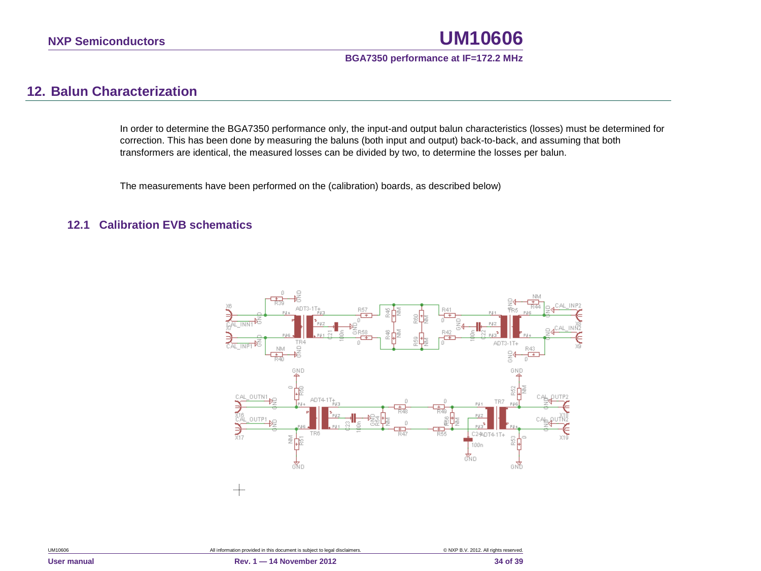### **BGA7350 performance at IF=172.2 MHz**

### **12. Balun Characterization**

In order to determine the BGA7350 performance only, the input-and output balun characteristics (losses) must be determined for correction. This has been done by measuring the baluns (both input and output) back-to-back, and assuming that both transformers are identical, the measured losses can be divided by two, to determine the losses per balun.

The measurements have been performed on the (calibration) boards, as described below)

### <span id="page-33-1"></span><span id="page-33-0"></span>**12.1 Calibration EVB schematics**

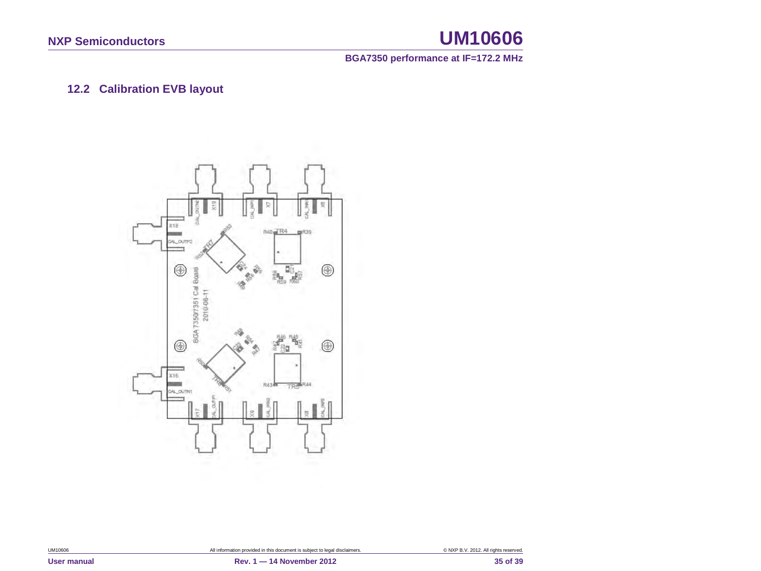**BGA7350 performance at IF=172.2 MHz**

### **12.2 Calibration EVB layout**

<span id="page-34-0"></span>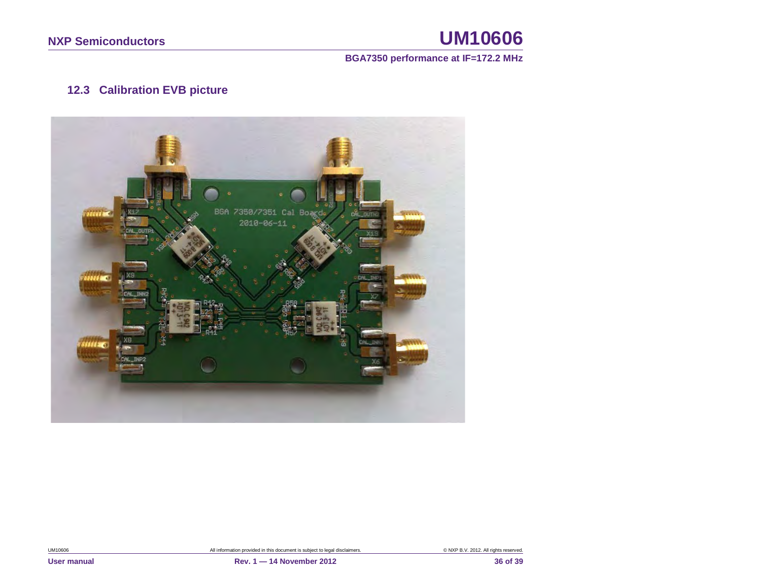### **BGA7350 performance at IF=172.2 MHz**

### **12.3 Calibration EVB picture**

<span id="page-35-0"></span>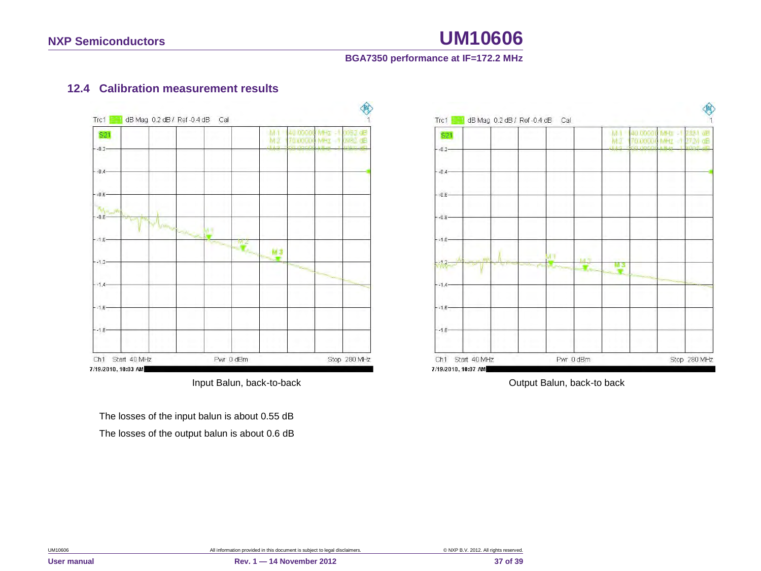### **BGA7350 performance at IF=172.2 MHz**

### **12.4 Calibration measurement results**



<span id="page-36-0"></span>The losses of the input balun is about 0.55 dB The losses of the output balun is about 0.6 dB



Input Balun, back-to-back **Input Balun**, back-to back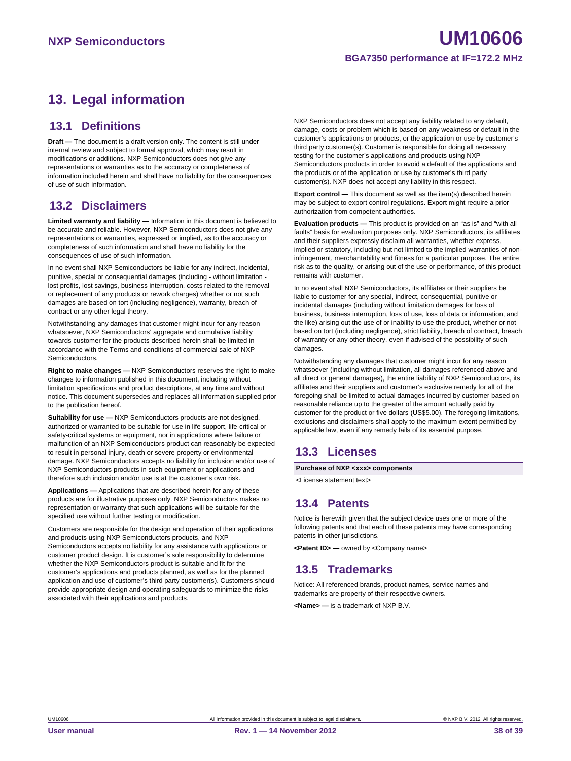## <span id="page-37-0"></span>**13. Legal information**

### <span id="page-37-1"></span>**13.1 Definitions**

**Draft —** The document is a draft version only. The content is still under internal review and subject to formal approval, which may result in modifications or additions. NXP Semiconductors does not give any representations or warranties as to the accuracy or completeness of information included herein and shall have no liability for the consequences of use of such information.

### <span id="page-37-2"></span>**13.2 Disclaimers**

**Limited warranty and liability —** Information in this document is believed to be accurate and reliable. However, NXP Semiconductors does not give any representations or warranties, expressed or implied, as to the accuracy or completeness of such information and shall have no liability for the consequences of use of such information.

In no event shall NXP Semiconductors be liable for any indirect, incidental, punitive, special or consequential damages (including - without limitation lost profits, lost savings, business interruption, costs related to the removal or replacement of any products or rework charges) whether or not such damages are based on tort (including negligence), warranty, breach of contract or any other legal theory.

Notwithstanding any damages that customer might incur for any reason whatsoever, NXP Semiconductors' aggregate and cumulative liability towards customer for the products described herein shall be limited in accordance with the Terms and conditions of commercial sale of NXP Semiconductors.

**Right to make changes —** NXP Semiconductors reserves the right to make changes to information published in this document, including without limitation specifications and product descriptions, at any time and without notice. This document supersedes and replaces all information supplied prior to the publication hereof.

**Suitability for use —** NXP Semiconductors products are not designed, authorized or warranted to be suitable for use in life support, life-critical or safety-critical systems or equipment, nor in applications where failure or malfunction of an NXP Semiconductors product can reasonably be expected to result in personal injury, death or severe property or environmental damage. NXP Semiconductors accepts no liability for inclusion and/or use of NXP Semiconductors products in such equipment or applications and therefore such inclusion and/or use is at the customer's own risk.

**Applications —** Applications that are described herein for any of these products are for illustrative purposes only. NXP Semiconductors makes no representation or warranty that such applications will be suitable for the specified use without further testing or modification.

Customers are responsible for the design and operation of their applications and products using NXP Semiconductors products, and NXP Semiconductors accepts no liability for any assistance with applications or customer product design. It is customer's sole responsibility to determine whether the NXP Semiconductors product is suitable and fit for the customer's applications and products planned, as well as for the planned application and use of customer's third party customer(s). Customers should provide appropriate design and operating safeguards to minimize the risks associated with their applications and products.

NXP Semiconductors does not accept any liability related to any default, damage, costs or problem which is based on any weakness or default in the customer's applications or products, or the application or use by customer's third party customer(s). Customer is responsible for doing all necessary testing for the customer's applications and products using NXP Semiconductors products in order to avoid a default of the applications and the products or of the application or use by customer's third party customer(s). NXP does not accept any liability in this respect.

**Export control —** This document as well as the item(s) described herein may be subject to export control regulations. Export might require a prior authorization from competent authorities.

**Evaluation products —** This product is provided on an "as is" and "with all faults" basis for evaluation purposes only. NXP Semiconductors, its affiliates and their suppliers expressly disclaim all warranties, whether express, implied or statutory, including but not limited to the implied warranties of noninfringement, merchantability and fitness for a particular purpose. The entire risk as to the quality, or arising out of the use or performance, of this product remains with customer.

In no event shall NXP Semiconductors, its affiliates or their suppliers be liable to customer for any special, indirect, consequential, punitive or incidental damages (including without limitation damages for loss of business, business interruption, loss of use, loss of data or information, and the like) arising out the use of or inability to use the product, whether or not based on tort (including negligence), strict liability, breach of contract, breach of warranty or any other theory, even if advised of the possibility of such damages

Notwithstanding any damages that customer might incur for any reason whatsoever (including without limitation, all damages referenced above and all direct or general damages), the entire liability of NXP Semiconductors, its affiliates and their suppliers and customer's exclusive remedy for all of the foregoing shall be limited to actual damages incurred by customer based on reasonable reliance up to the greater of the amount actually paid by customer for the product or five dollars (US\$5.00). The foregoing limitations, exclusions and disclaimers shall apply to the maximum extent permitted by applicable law, even if any remedy fails of its essential purpose.

### <span id="page-37-3"></span>**13.3 Licenses**

**Purchase of NXP <xxx> components**

<span id="page-37-4"></span><License statement text>

### **13.4 Patents**

Notice is herewith given that the subject device uses one or more of the following patents and that each of these patents may have corresponding patents in other jurisdictions.

<span id="page-37-5"></span>**<Patent ID> —** owned by <Company name>

### **13.5 Trademarks**

Notice: All referenced brands, product names, service names and trademarks are property of their respective owners.

**<Name> —** is a trademark of NXP B.V.